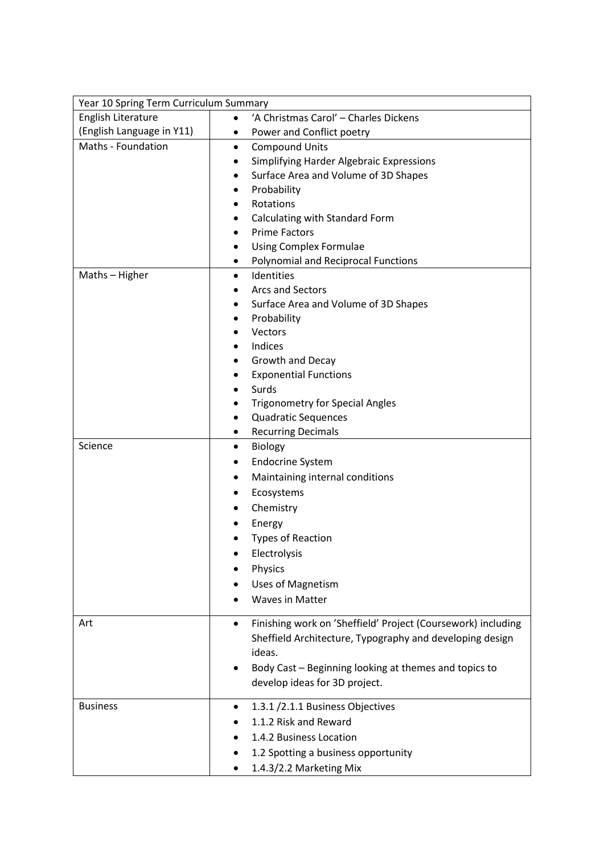| Year 10 Spring Term Curriculum Summary |                                                                           |
|----------------------------------------|---------------------------------------------------------------------------|
| English Literature                     | 'A Christmas Carol' - Charles Dickens                                     |
| (English Language in Y11)              | Power and Conflict poetry                                                 |
| Maths - Foundation                     | <b>Compound Units</b><br>٠                                                |
|                                        | Simplifying Harder Algebraic Expressions                                  |
|                                        | Surface Area and Volume of 3D Shapes                                      |
|                                        | Probability                                                               |
|                                        | Rotations<br>٠                                                            |
|                                        | Calculating with Standard Form                                            |
|                                        | <b>Prime Factors</b>                                                      |
|                                        | <b>Using Complex Formulae</b>                                             |
|                                        | <b>Polynomial and Reciprocal Functions</b>                                |
| Maths - Higher                         | Identities<br>$\bullet$                                                   |
|                                        | Arcs and Sectors                                                          |
|                                        | Surface Area and Volume of 3D Shapes                                      |
|                                        | Probability                                                               |
|                                        | Vectors                                                                   |
|                                        | Indices                                                                   |
|                                        | Growth and Decay                                                          |
|                                        | <b>Exponential Functions</b>                                              |
|                                        | Surds                                                                     |
|                                        | <b>Trigonometry for Special Angles</b>                                    |
|                                        | <b>Quadratic Sequences</b>                                                |
| Science                                | <b>Recurring Decimals</b><br>٠<br>Biology<br>$\bullet$                    |
|                                        | <b>Endocrine System</b>                                                   |
|                                        |                                                                           |
|                                        | Maintaining internal conditions                                           |
|                                        | Ecosystems                                                                |
|                                        | Chemistry                                                                 |
|                                        | Energy                                                                    |
|                                        | <b>Types of Reaction</b>                                                  |
|                                        | Electrolysis                                                              |
|                                        | Physics                                                                   |
|                                        | <b>Uses of Magnetism</b>                                                  |
|                                        | <b>Waves in Matter</b>                                                    |
| Art                                    | Finishing work on 'Sheffield' Project (Coursework) including<br>$\bullet$ |
|                                        | Sheffield Architecture, Typography and developing design                  |
|                                        | ideas.                                                                    |
|                                        | Body Cast - Beginning looking at themes and topics to                     |
|                                        | develop ideas for 3D project.                                             |
|                                        |                                                                           |
| <b>Business</b>                        | 1.3.1 /2.1.1 Business Objectives                                          |
|                                        | 1.1.2 Risk and Reward                                                     |
|                                        | 1.4.2 Business Location                                                   |
|                                        | 1.2 Spotting a business opportunity                                       |
|                                        | 1.4.3/2.2 Marketing Mix                                                   |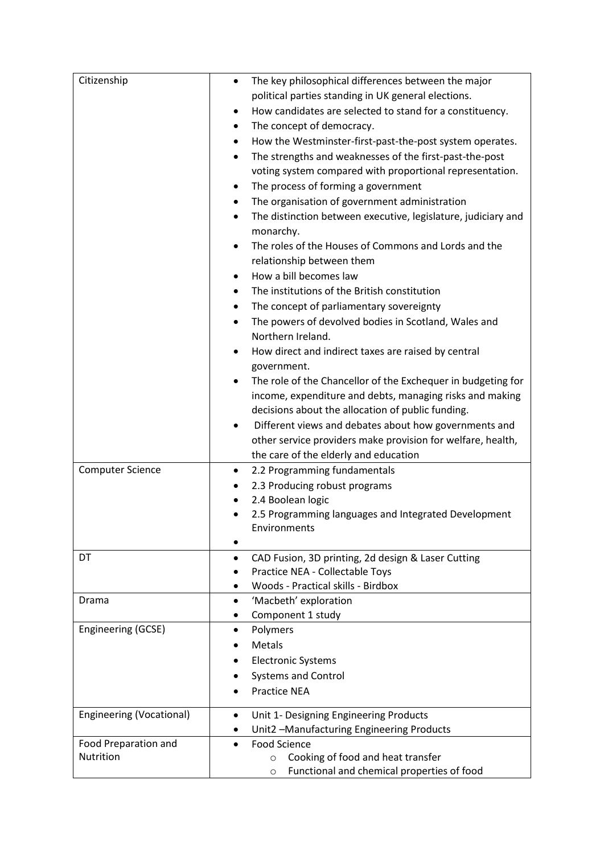| Citizenship                     | The key philosophical differences between the major<br>$\bullet$          |
|---------------------------------|---------------------------------------------------------------------------|
|                                 | political parties standing in UK general elections.                       |
|                                 | How candidates are selected to stand for a constituency.<br>٠             |
|                                 | The concept of democracy.                                                 |
|                                 | How the Westminster-first-past-the-post system operates.                  |
|                                 | The strengths and weaknesses of the first-past-the-post                   |
|                                 | voting system compared with proportional representation.                  |
|                                 | The process of forming a government<br>$\bullet$                          |
|                                 | The organisation of government administration<br>٠                        |
|                                 | The distinction between executive, legislature, judiciary and<br>٠        |
|                                 | monarchy.                                                                 |
|                                 | The roles of the Houses of Commons and Lords and the<br>$\bullet$         |
|                                 | relationship between them                                                 |
|                                 | How a bill becomes law                                                    |
|                                 | The institutions of the British constitution<br>$\bullet$                 |
|                                 | The concept of parliamentary sovereignty<br>٠                             |
|                                 |                                                                           |
|                                 | The powers of devolved bodies in Scotland, Wales and<br>Northern Ireland. |
|                                 | How direct and indirect taxes are raised by central                       |
|                                 | government.                                                               |
|                                 | The role of the Chancellor of the Exchequer in budgeting for              |
|                                 | income, expenditure and debts, managing risks and making                  |
|                                 | decisions about the allocation of public funding.                         |
|                                 | Different views and debates about how governments and                     |
|                                 | other service providers make provision for welfare, health,               |
|                                 | the care of the elderly and education                                     |
| <b>Computer Science</b>         | 2.2 Programming fundamentals<br>٠                                         |
|                                 | 2.3 Producing robust programs<br>٠                                        |
|                                 | 2.4 Boolean logic                                                         |
|                                 | 2.5 Programming languages and Integrated Development                      |
|                                 | Environments                                                              |
|                                 | $\bullet$                                                                 |
| DT                              | CAD Fusion, 3D printing, 2d design & Laser Cutting                        |
|                                 | Practice NEA - Collectable Toys                                           |
|                                 | Woods - Practical skills - Birdbox                                        |
| Drama                           | 'Macbeth' exploration<br>٠                                                |
|                                 | Component 1 study<br>٠                                                    |
| Engineering (GCSE)              | Polymers<br>$\bullet$                                                     |
|                                 | Metals                                                                    |
|                                 | <b>Electronic Systems</b>                                                 |
|                                 | <b>Systems and Control</b>                                                |
|                                 | <b>Practice NEA</b>                                                       |
| <b>Engineering (Vocational)</b> | Unit 1- Designing Engineering Products<br>٠                               |
|                                 | Unit2 -Manufacturing Engineering Products                                 |
| Food Preparation and            | <b>Food Science</b><br>٠                                                  |
| Nutrition                       | Cooking of food and heat transfer<br>$\circ$                              |
|                                 | Functional and chemical properties of food<br>$\circ$                     |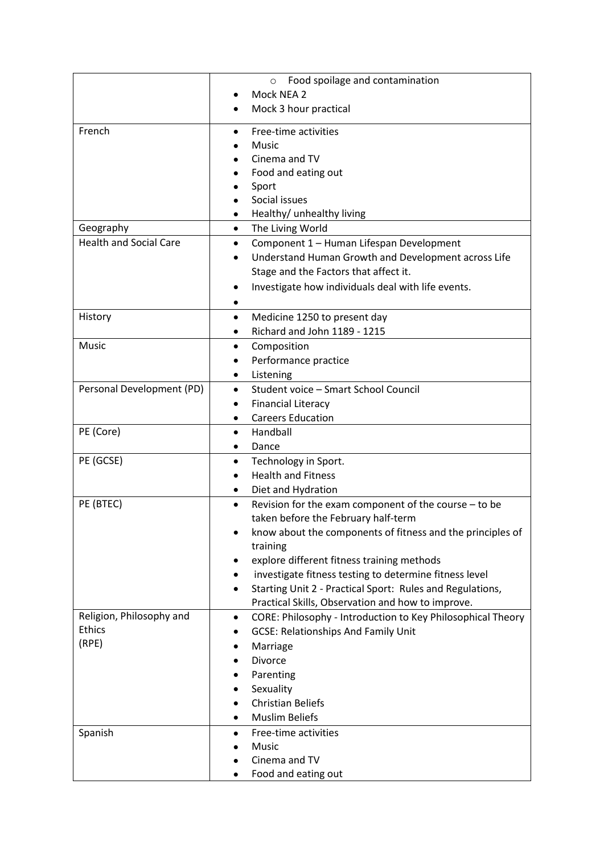|                               | Food spoilage and contamination<br>$\circ$                               |
|-------------------------------|--------------------------------------------------------------------------|
|                               | Mock NEA 2                                                               |
|                               | Mock 3 hour practical                                                    |
|                               |                                                                          |
| French                        | Free-time activities                                                     |
|                               | Music                                                                    |
|                               | Cinema and TV                                                            |
|                               | Food and eating out                                                      |
|                               | Sport                                                                    |
|                               | Social issues                                                            |
|                               | Healthy/ unhealthy living                                                |
| Geography                     | The Living World<br>$\bullet$                                            |
| <b>Health and Social Care</b> | Component 1 - Human Lifespan Development<br>٠                            |
|                               | Understand Human Growth and Development across Life                      |
|                               | Stage and the Factors that affect it.                                    |
|                               | Investigate how individuals deal with life events.                       |
|                               |                                                                          |
| History                       | Medicine 1250 to present day<br>$\bullet$                                |
|                               | Richard and John 1189 - 1215                                             |
| Music                         | Composition<br>٠                                                         |
|                               | Performance practice                                                     |
|                               | Listening<br>٠                                                           |
| Personal Development (PD)     | Student voice - Smart School Council<br>$\bullet$                        |
|                               | <b>Financial Literacy</b>                                                |
|                               | <b>Careers Education</b>                                                 |
| PE (Core)                     | Handball<br>$\bullet$                                                    |
|                               | Dance<br>٠                                                               |
| PE (GCSE)                     | Technology in Sport.<br>٠                                                |
|                               | <b>Health and Fitness</b>                                                |
|                               | Diet and Hydration                                                       |
| PE (BTEC)                     | Revision for the exam component of the course - to be<br>$\bullet$       |
|                               | taken before the February half-term                                      |
|                               | know about the components of fitness and the principles of               |
|                               | training                                                                 |
|                               | explore different fitness training methods                               |
|                               | investigate fitness testing to determine fitness level<br>٠              |
|                               | Starting Unit 2 - Practical Sport: Rules and Regulations,                |
|                               | Practical Skills, Observation and how to improve.                        |
| Religion, Philosophy and      | CORE: Philosophy - Introduction to Key Philosophical Theory<br>$\bullet$ |
| <b>Ethics</b>                 | <b>GCSE: Relationships And Family Unit</b>                               |
| (RPE)                         | Marriage                                                                 |
|                               | <b>Divorce</b>                                                           |
|                               | Parenting                                                                |
|                               | Sexuality                                                                |
|                               | <b>Christian Beliefs</b>                                                 |
|                               | <b>Muslim Beliefs</b>                                                    |
| Spanish                       | Free-time activities                                                     |
|                               | Music                                                                    |
|                               | Cinema and TV                                                            |
|                               | Food and eating out                                                      |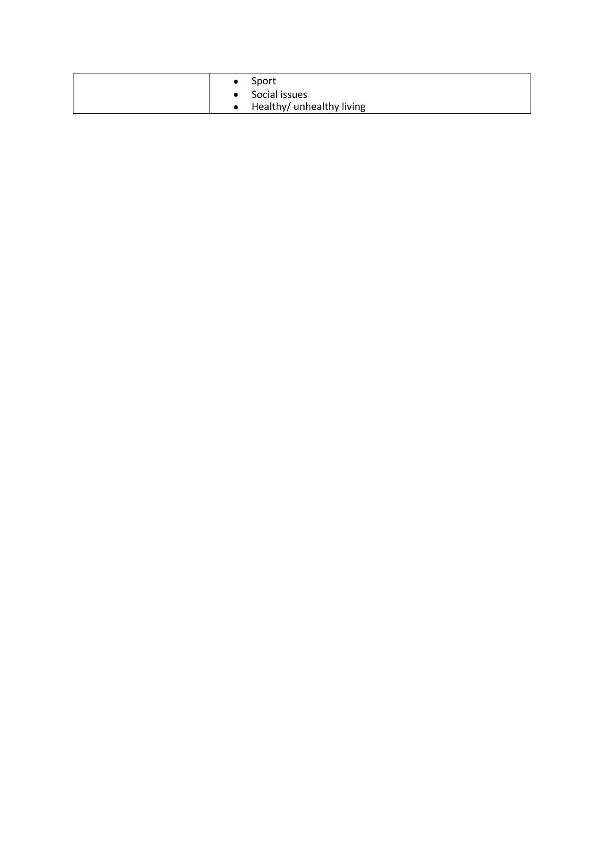| Sport                     |
|---------------------------|
| • Social issues           |
| Healthy/ unhealthy living |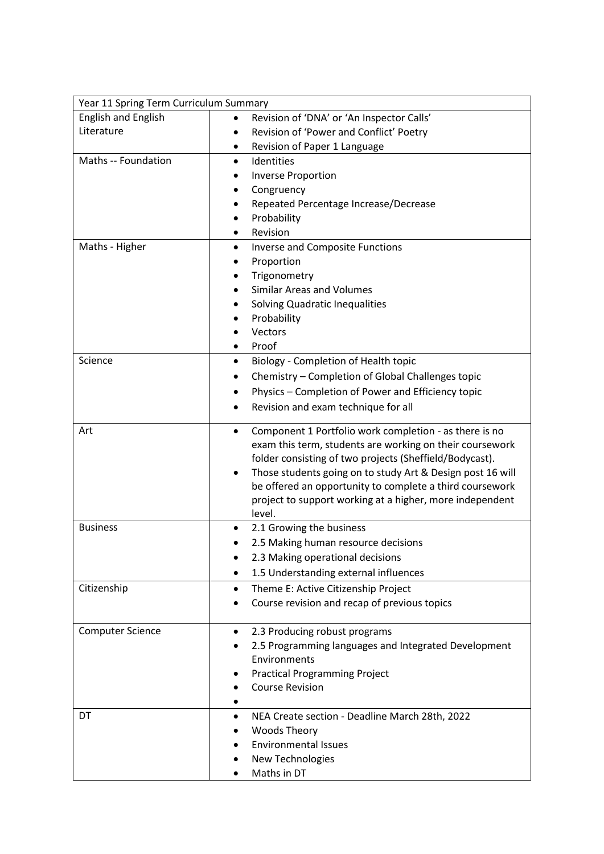| Year 11 Spring Term Curriculum Summary |                                                                     |
|----------------------------------------|---------------------------------------------------------------------|
| <b>English and English</b>             | Revision of 'DNA' or 'An Inspector Calls'                           |
| Literature                             | Revision of 'Power and Conflict' Poetry                             |
|                                        | Revision of Paper 1 Language<br>٠                                   |
| Maths -- Foundation                    | Identities<br>$\bullet$                                             |
|                                        | <b>Inverse Proportion</b>                                           |
|                                        | Congruency                                                          |
|                                        | Repeated Percentage Increase/Decrease                               |
|                                        | Probability                                                         |
|                                        | Revision                                                            |
| Maths - Higher                         | <b>Inverse and Composite Functions</b><br>$\bullet$                 |
|                                        | Proportion                                                          |
|                                        | Trigonometry                                                        |
|                                        | <b>Similar Areas and Volumes</b>                                    |
|                                        | Solving Quadratic Inequalities                                      |
|                                        | Probability                                                         |
|                                        | Vectors                                                             |
|                                        | Proof                                                               |
| Science                                | Biology - Completion of Health topic                                |
|                                        | Chemistry - Completion of Global Challenges topic                   |
|                                        | Physics - Completion of Power and Efficiency topic                  |
|                                        | Revision and exam technique for all                                 |
| Art                                    | Component 1 Portfolio work completion - as there is no<br>$\bullet$ |
|                                        | exam this term, students are working on their coursework            |
|                                        | folder consisting of two projects (Sheffield/Bodycast).             |
|                                        | Those students going on to study Art & Design post 16 will          |
|                                        | be offered an opportunity to complete a third coursework            |
|                                        | project to support working at a higher, more independent            |
|                                        | level.                                                              |
| <b>Business</b>                        | 2.1 Growing the business                                            |
|                                        | 2.5 Making human resource decisions                                 |
|                                        | 2.3 Making operational decisions                                    |
|                                        | 1.5 Understanding external influences                               |
| Citizenship                            | Theme E: Active Citizenship Project<br>٠                            |
|                                        | Course revision and recap of previous topics                        |
| <b>Computer Science</b>                | 2.3 Producing robust programs                                       |
|                                        | 2.5 Programming languages and Integrated Development                |
|                                        | Environments                                                        |
|                                        | <b>Practical Programming Project</b>                                |
|                                        | <b>Course Revision</b>                                              |
|                                        |                                                                     |
| DT                                     | NEA Create section - Deadline March 28th, 2022                      |
|                                        | <b>Woods Theory</b>                                                 |
|                                        | <b>Environmental Issues</b>                                         |
|                                        | New Technologies                                                    |
|                                        | Maths in DT                                                         |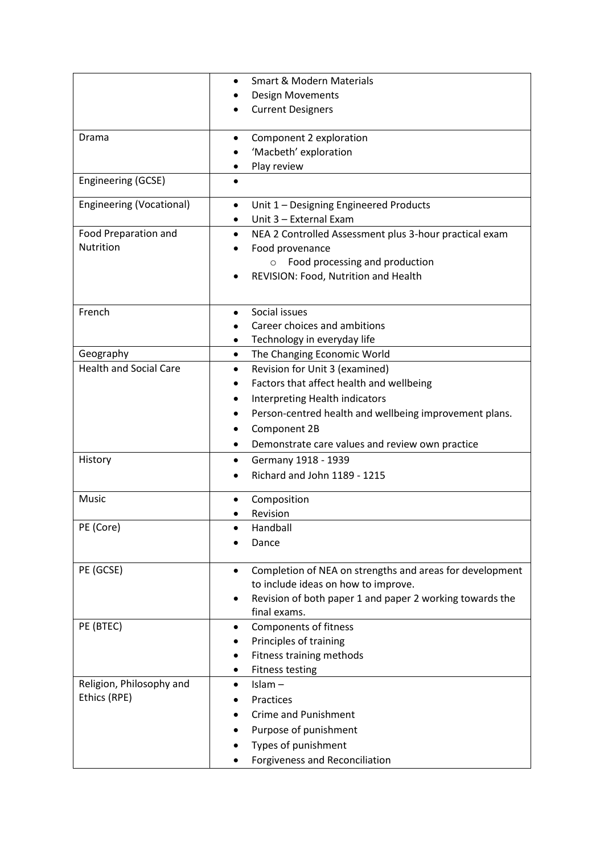|                                 | <b>Smart &amp; Modern Materials</b><br>$\bullet$                    |
|---------------------------------|---------------------------------------------------------------------|
|                                 | <b>Design Movements</b>                                             |
|                                 | <b>Current Designers</b>                                            |
|                                 |                                                                     |
| Drama                           | Component 2 exploration                                             |
|                                 | 'Macbeth' exploration                                               |
|                                 | Play review                                                         |
| Engineering (GCSE)              |                                                                     |
| <b>Engineering (Vocational)</b> | Unit 1 - Designing Engineered Products<br>$\bullet$                 |
|                                 | Unit 3 - External Exam                                              |
| Food Preparation and            | NEA 2 Controlled Assessment plus 3-hour practical exam<br>$\bullet$ |
| Nutrition                       | Food provenance                                                     |
|                                 | Food processing and production<br>$\circ$                           |
|                                 | REVISION: Food, Nutrition and Health                                |
|                                 |                                                                     |
|                                 |                                                                     |
| French                          | Social issues                                                       |
|                                 | Career choices and ambitions                                        |
|                                 | Technology in everyday life                                         |
| Geography                       | The Changing Economic World<br>$\bullet$                            |
| <b>Health and Social Care</b>   | Revision for Unit 3 (examined)<br>$\bullet$                         |
|                                 | Factors that affect health and wellbeing                            |
|                                 | Interpreting Health indicators                                      |
|                                 | Person-centred health and wellbeing improvement plans.              |
|                                 | Component 2B                                                        |
|                                 | Demonstrate care values and review own practice                     |
| History                         | Germany 1918 - 1939                                                 |
|                                 | Richard and John 1189 - 1215                                        |
|                                 |                                                                     |
| Music                           | Composition                                                         |
|                                 | Revision                                                            |
| PE (Core)                       | Handball                                                            |
|                                 | Dance                                                               |
|                                 |                                                                     |
| PE (GCSE)                       | Completion of NEA on strengths and areas for development            |
|                                 | to include ideas on how to improve.                                 |
|                                 | Revision of both paper 1 and paper 2 working towards the            |
|                                 | final exams.                                                        |
| PE (BTEC)                       | <b>Components of fitness</b><br>٠                                   |
|                                 | Principles of training                                              |
|                                 | Fitness training methods                                            |
|                                 | <b>Fitness testing</b>                                              |
| Religion, Philosophy and        | $Islam -$<br>٠                                                      |
| Ethics (RPE)                    | Practices                                                           |
|                                 | <b>Crime and Punishment</b>                                         |
|                                 | Purpose of punishment                                               |
|                                 | Types of punishment                                                 |
|                                 |                                                                     |
|                                 | Forgiveness and Reconciliation                                      |